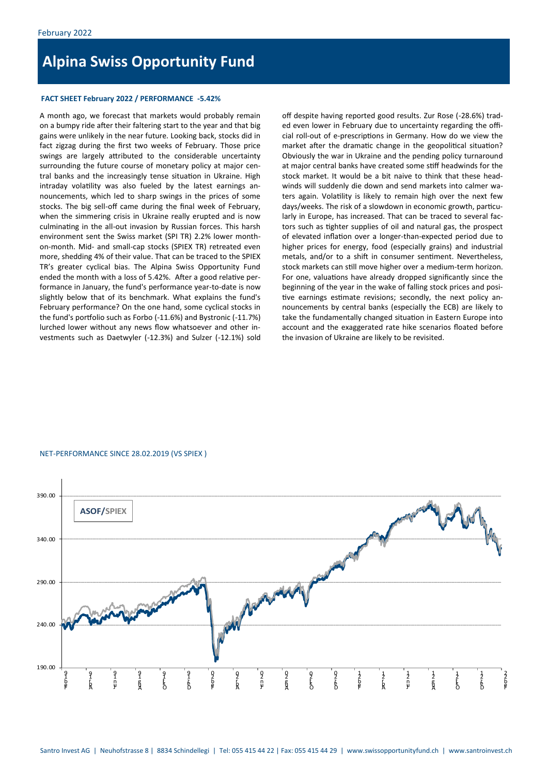# **Alpina Swiss Opportunity Fund**

## **FACT SHEET February 2022 / PERFORMANCE -5.42%**

A month ago, we forecast that markets would probably remain on a bumpy ride after their faltering start to the year and that big gains were unlikely in the near future. Looking back, stocks did in fact zigzag during the first two weeks of February. Those price swings are largely attributed to the considerable uncertainty surrounding the future course of monetary policy at major central banks and the increasingly tense situation in Ukraine. High intraday volatility was also fueled by the latest earnings announcements, which led to sharp swings in the prices of some stocks. The big sell-off came during the final week of February, when the simmering crisis in Ukraine really erupted and is now culminating in the all-out invasion by Russian forces. This harsh environment sent the Swiss market (SPI TR) 2.2% lower monthon-month. Mid- and small-cap stocks (SPIEX TR) retreated even more, shedding 4% of their value. That can be traced to the SPIEX TR's greater cyclical bias. The Alpina Swiss Opportunity Fund ended the month with a loss of 5.42%. After a good relative performance in January, the fund's performance year-to-date is now slightly below that of its benchmark. What explains the fund's February performance? On the one hand, some cyclical stocks in the fund's portfolio such as Forbo (-11.6%) and Bystronic (-11.7%) lurched lower without any news flow whatsoever and other investments such as Daetwyler (-12.3%) and Sulzer (-12.1%) sold off despite having reported good results. Zur Rose (-28.6%) traded even lower in February due to uncertainty regarding the official roll-out of e-prescriptions in Germany. How do we view the market after the dramatic change in the geopolitical situation? Obviously the war in Ukraine and the pending policy turnaround at major central banks have created some stiff headwinds for the stock market. It would be a bit naive to think that these headwinds will suddenly die down and send markets into calmer waters again. Volatility is likely to remain high over the next few days/weeks. The risk of a slowdown in economic growth, particularly in Europe, has increased. That can be traced to several factors such as tighter supplies of oil and natural gas, the prospect of elevated inflation over a longer-than-expected period due to higher prices for energy, food (especially grains) and industrial metals, and/or to a shift in consumer sentiment. Nevertheless, stock markets can still move higher over a medium-term horizon. For one, valuations have already dropped significantly since the beginning of the year in the wake of falling stock prices and positive earnings estimate revisions; secondly, the next policy announcements by central banks (especially the ECB) are likely to take the fundamentally changed situation in Eastern Europe into account and the exaggerated rate hike scenarios floated before the invasion of Ukraine are likely to be revisited.

### NET-PERFORMANCE SINCE 28.02.2019 (VS SPIEX )